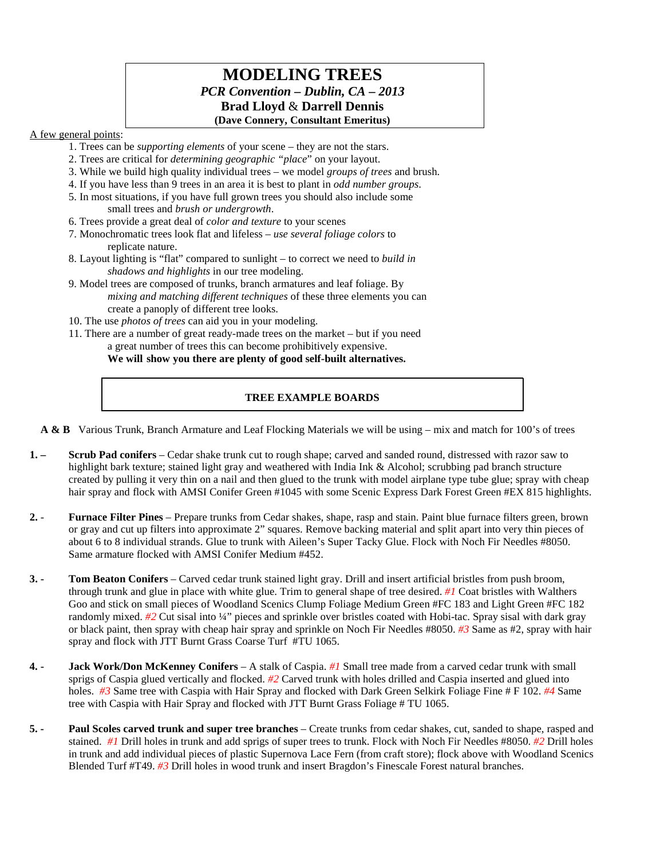# **MODELING TREES** *PCR Convention – Dublin, CA – 2013* **Brad Lloyd** & **Darrell Dennis (Dave Connery, Consultant Emeritus)**

## A few general points:

- 1. Trees can be *supporting elements* of your scene they are not the stars.
- 2. Trees are critical for *determining geographic "place*" on your layout.
- 3. While we build high quality individual trees we model *groups of trees* and brush.
- 4. If you have less than 9 trees in an area it is best to plant in *odd number groups*.
- 5. In most situations, if you have full grown trees you should also include some small trees and *brush or undergrowth*.
- 6. Trees provide a great deal of *color and texture* to your scenes
- 7. Monochromatic trees look flat and lifeless *use several foliage colors* to replicate nature.
- 8. Layout lighting is "flat" compared to sunlight to correct we need to *build in shadows and highlights* in our tree modeling.
- 9. Model trees are composed of trunks, branch armatures and leaf foliage. By *mixing and matching different techniques* of these three elements you can create a panoply of different tree looks.
- 10. The use *photos of trees* can aid you in your modeling.
- 11. There are a number of great ready-made trees on the market but if you need a great number of trees this can become prohibitively expensive.

**We will show you there are plenty of good self-built alternatives.**

## **TREE EXAMPLE BOARDS**

 **A & B** Various Trunk, Branch Armature and Leaf Flocking Materials we will be using – mix and match for 100's of trees

- **1. – Scrub Pad conifers** Cedar shake trunk cut to rough shape; carved and sanded round, distressed with razor saw to highlight bark texture; stained light gray and weathered with India Ink & Alcohol; scrubbing pad branch structure created by pulling it very thin on a nail and then glued to the trunk with model airplane type tube glue; spray with cheap hair spray and flock with AMSI Conifer Green #1045 with some Scenic Express Dark Forest Green #EX 815 highlights.
- **2. Furnace Filter Pines** Prepare trunks from Cedar shakes, shape, rasp and stain. Paint blue furnace filters green, brown or gray and cut up filters into approximate 2" squares. Remove backing material and split apart into very thin pieces of about 6 to 8 individual strands. Glue to trunk with Aileen's Super Tacky Glue. Flock with Noch Fir Needles #8050. Same armature flocked with AMSI Conifer Medium #452.
- **3. - Tom Beaton Conifers** Carved cedar trunk stained light gray. Drill and insert artificial bristles from push broom, through trunk and glue in place with white glue. Trim to general shape of tree desired. *#1* Coat bristles with Walthers Goo and stick on small pieces of Woodland Scenics Clump Foliage Medium Green #FC 183 and Light Green #FC 182 randomly mixed. *#2* Cut sisal into ¼" pieces and sprinkle over bristles coated with Hobi-tac. Spray sisal with dark gray or black paint, then spray with cheap hair spray and sprinkle on Noch Fir Needles #8050. *#3* Same as #2, spray with hair spray and flock with JTT Burnt Grass Coarse Turf #TU 1065.
- **4. - Jack Work/Don McKenney Conifers** A stalk of Caspia. *#1* Small tree made from a carved cedar trunk with small sprigs of Caspia glued vertically and flocked. *#2* Carved trunk with holes drilled and Caspia inserted and glued into holes. *#3* Same tree with Caspia with Hair Spray and flocked with Dark Green Selkirk Foliage Fine # F 102. *#4* Same tree with Caspia with Hair Spray and flocked with JTT Burnt Grass Foliage # TU 1065.
- **5. - Paul Scoles carved trunk and super tree branches** Create trunks from cedar shakes, cut, sanded to shape, rasped and stained. *#1* Drill holes in trunk and add sprigs of super trees to trunk. Flock with Noch Fir Needles #8050. *#2* Drill holes in trunk and add individual pieces of plastic Supernova Lace Fern (from craft store); flock above with Woodland Scenics Blended Turf #T49. *#3* Drill holes in wood trunk and insert Bragdon's Finescale Forest natural branches.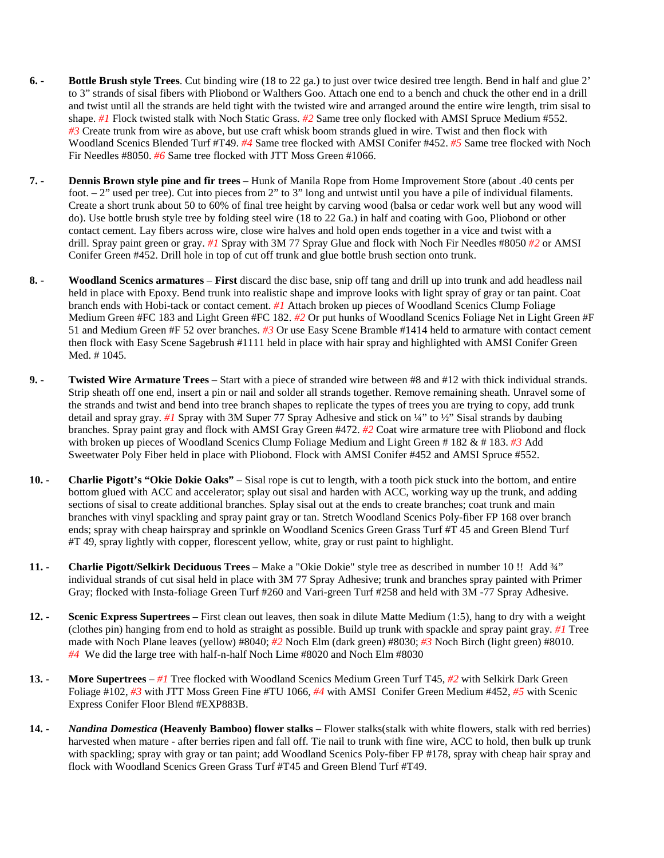- **6. - Bottle Brush style Trees**. Cut binding wire (18 to 22 ga.) to just over twice desired tree length. Bend in half and glue 2' to 3" strands of sisal fibers with Pliobond or Walthers Goo. Attach one end to a bench and chuck the other end in a drill and twist until all the strands are held tight with the twisted wire and arranged around the entire wire length, trim sisal to shape. *#1* Flock twisted stalk with Noch Static Grass. *#2* Same tree only flocked with AMSI Spruce Medium #552. *#3* Create trunk from wire as above, but use craft whisk boom strands glued in wire. Twist and then flock with Woodland Scenics Blended Turf #T49. *#4* Same tree flocked with AMSI Conifer #452. *#5* Same tree flocked with Noch Fir Needles #8050. *#6* Same tree flocked with JTT Moss Green #1066.
- **7. - Dennis Brown style pine and fir trees** Hunk of Manila Rope from Home Improvement Store (about .40 cents per foot.  $-2$ " used per tree). Cut into pieces from 2" to 3" long and untwist until you have a pile of individual filaments. Create a short trunk about 50 to 60% of final tree height by carving wood (balsa or cedar work well but any wood will do). Use bottle brush style tree by folding steel wire (18 to 22 Ga.) in half and coating with Goo, Pliobond or other contact cement. Lay fibers across wire, close wire halves and hold open ends together in a vice and twist with a drill. Spray paint green or gray. *#1* Spray with 3M 77 Spray Glue and flock with Noch Fir Needles #8050 *#2* or AMSI Conifer Green #452. Drill hole in top of cut off trunk and glue bottle brush section onto trunk.
- **8. - Woodland Scenics armatures First** discard the disc base, snip off tang and drill up into trunk and add headless nail held in place with Epoxy. Bend trunk into realistic shape and improve looks with light spray of gray or tan paint. Coat branch ends with Hobi-tack or contact cement. *#1* Attach broken up pieces of Woodland Scenics Clump Foliage Medium Green #FC 183 and Light Green #FC 182. *#2* Or put hunks of Woodland Scenics Foliage Net in Light Green #F 51 and Medium Green #F 52 over branches. *#3* Or use Easy Scene Bramble #1414 held to armature with contact cement then flock with Easy Scene Sagebrush #1111 held in place with hair spray and highlighted with AMSI Conifer Green Med. # 1045.
- **9. - Twisted Wire Armature Trees** Start with a piece of stranded wire between #8 and #12 with thick individual strands. Strip sheath off one end, insert a pin or nail and solder all strands together. Remove remaining sheath. Unravel some of the strands and twist and bend into tree branch shapes to replicate the types of trees you are trying to copy, add trunk detail and spray gray. *#1* Spray with 3M Super 77 Spray Adhesive and stick on ¼" to ½" Sisal strands by daubing branches. Spray paint gray and flock with AMSI Gray Green #472. *#2* Coat wire armature tree with Pliobond and flock with broken up pieces of Woodland Scenics Clump Foliage Medium and Light Green # 182 & # 183. *#3* Add Sweetwater Poly Fiber held in place with Pliobond. Flock with AMSI Conifer #452 and AMSI Spruce #552.
- **10. - Charlie Pigott's "Okie Dokie Oaks"** Sisal rope is cut to length, with a tooth pick stuck into the bottom, and entire bottom glued with ACC and accelerator; splay out sisal and harden with ACC, working way up the trunk, and adding sections of sisal to create additional branches. Splay sisal out at the ends to create branches; coat trunk and main branches with vinyl spackling and spray paint gray or tan. Stretch Woodland Scenics Poly-fiber FP 168 over branch ends; spray with cheap hairspray and sprinkle on Woodland Scenics Green Grass Turf #T 45 and Green Blend Turf #T 49, spray lightly with copper, florescent yellow, white, gray or rust paint to highlight.
- **11. - Charlie Pigott/Selkirk Deciduous Trees** Make a "Okie Dokie" style tree as described in number 10 !! Add ¾" individual strands of cut sisal held in place with 3M 77 Spray Adhesive; trunk and branches spray painted with Primer Gray; flocked with Insta-foliage Green Turf #260 and Vari-green Turf #258 and held with 3M -77 Spray Adhesive.
- **12. - Scenic Express Supertrees** First clean out leaves, then soak in dilute Matte Medium (1:5), hang to dry with a weight (clothes pin) hanging from end to hold as straight as possible. Build up trunk with spackle and spray paint gray. *#1* Tree made with Noch Plane leaves (yellow) #8040; *#2* Noch Elm (dark green) #8030; *#3* Noch Birch (light green) #8010. *#4* We did the large tree with half-n-half Noch Lime #8020 and Noch Elm #8030
- **13. - More Supertrees** *#1* Tree flocked with Woodland Scenics Medium Green Turf T45, *#2* with Selkirk Dark Green Foliage #102, *#3* with JTT Moss Green Fine #TU 1066, *#4* with AMSI Conifer Green Medium #452, *#5* with Scenic Express Conifer Floor Blend #EXP883B.
- **14. -** *Nandina Domestica* **(Heavenly Bamboo) flower stalks** Flower stalks(stalk with white flowers, stalk with red berries) harvested when mature - after berries ripen and fall off. Tie nail to trunk with fine wire, ACC to hold, then bulk up trunk with spackling; spray with gray or tan paint; add Woodland Scenics Poly-fiber FP #178, spray with cheap hair spray and flock with Woodland Scenics Green Grass Turf #T45 and Green Blend Turf #T49.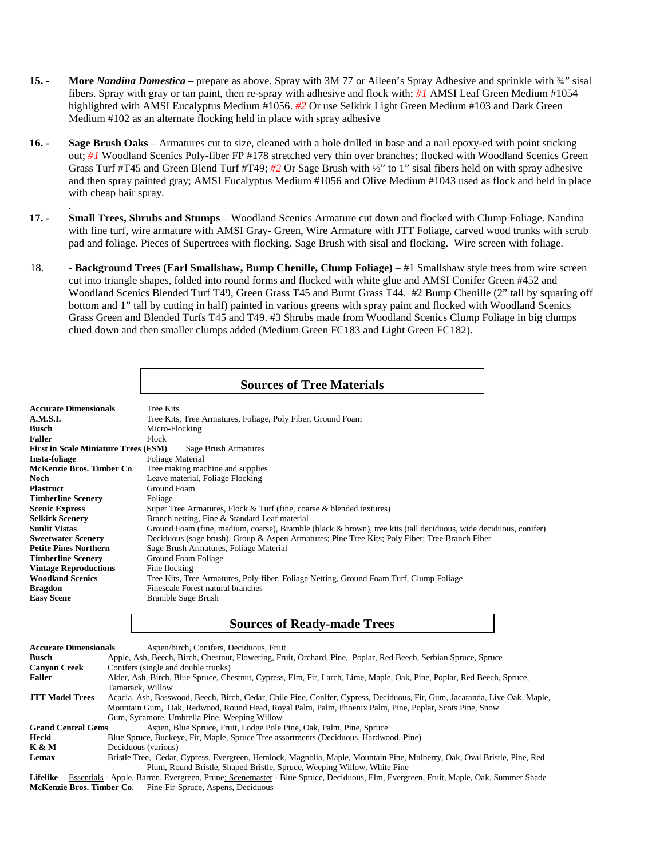- **15. - More** *Nandina Domestica* prepare as above. Spray with 3M 77 or Aileen's Spray Adhesive and sprinkle with ¾" sisal fibers. Spray with gray or tan paint, then re-spray with adhesive and flock with; *#1* AMSI Leaf Green Medium #1054 highlighted with AMSI Eucalyptus Medium #1056. *#2* Or use Selkirk Light Green Medium #103 and Dark Green Medium #102 as an alternate flocking held in place with spray adhesive
- **16. - Sage Brush Oaks** Armatures cut to size, cleaned with a hole drilled in base and a nail epoxy-ed with point sticking out; #1 Woodland Scenics Poly-fiber FP #178 stretched very thin over branches; flocked with Woodland Scenics Green Grass Turf #T45 and Green Blend Turf #T49; *#2* Or Sage Brush with ½" to 1" sisal fibers held on with spray adhesive and then spray painted gray; AMSI Eucalyptus Medium #1056 and Olive Medium #1043 used as flock and held in place with cheap hair spray.
- **17. - Small Trees, Shrubs and Stumps** Woodland Scenics Armature cut down and flocked with Clump Foliage. Nandina with fine turf, wire armature with AMSI Gray- Green, Wire Armature with JTT Foliage, carved wood trunks with scrub pad and foliage. Pieces of Supertrees with flocking. Sage Brush with sisal and flocking. Wire screen with foliage.

.

18. **- Background Trees (Earl Smallshaw, Bump Chenille, Clump Foliage)** – #1 Smallshaw style trees from wire screen cut into triangle shapes, folded into round forms and flocked with white glue and AMSI Conifer Green #452 and Woodland Scenics Blended Turf T49, Green Grass T45 and Burnt Grass T44. #2 Bump Chenille (2" tall by squaring off bottom and 1" tall by cutting in half) painted in various greens with spray paint and flocked with Woodland Scenics Grass Green and Blended Turfs T45 and T49. #3 Shrubs made from Woodland Scenics Clump Foliage in big clumps clued down and then smaller clumps added (Medium Green FC183 and Light Green FC182).

## **Sources of Tree Materials**

| <b>Accurate Dimensionals</b>                | <b>Tree Kits</b>                                                                                                 |  |  |  |
|---------------------------------------------|------------------------------------------------------------------------------------------------------------------|--|--|--|
| A.M.S.I.                                    | Tree Kits, Tree Armatures, Foliage, Poly Fiber, Ground Foam                                                      |  |  |  |
| <b>Busch</b>                                | Micro-Flocking                                                                                                   |  |  |  |
| <b>Faller</b>                               | Flock                                                                                                            |  |  |  |
| <b>First in Scale Miniature Trees (FSM)</b> | Sage Brush Armatures                                                                                             |  |  |  |
| <b>Insta-foliage</b>                        | Foliage Material                                                                                                 |  |  |  |
| McKenzie Bros. Timber Co.                   | Tree making machine and supplies                                                                                 |  |  |  |
| Noch                                        | Leave material, Foliage Flocking                                                                                 |  |  |  |
| <b>Plastruct</b>                            | Ground Foam                                                                                                      |  |  |  |
| <b>Timberline Scenery</b>                   | Foliage                                                                                                          |  |  |  |
| <b>Scenic Express</b>                       | Super Tree Armatures, Flock & Turf (fine, coarse & blended textures)                                             |  |  |  |
| <b>Selkirk Scenery</b>                      | Branch netting, Fine & Standard Leaf material                                                                    |  |  |  |
| <b>Sunlit Vistas</b>                        | Ground Foam (fine, medium, coarse), Bramble (black & brown), tree kits (tall deciduous, wide deciduous, conifer) |  |  |  |
| <b>Sweetwater Scenery</b>                   | Deciduous (sage brush), Group & Aspen Armatures; Pine Tree Kits; Poly Fiber; Tree Branch Fiber                   |  |  |  |
| <b>Petite Pines Northern</b>                | Sage Brush Armatures, Foliage Material                                                                           |  |  |  |
| <b>Timberline Scenery</b>                   | Ground Foam Foliage                                                                                              |  |  |  |
| <b>Vintage Reproductions</b>                | Fine flocking                                                                                                    |  |  |  |
| <b>Woodland Scenics</b>                     | Tree Kits, Tree Armatures, Poly-fiber, Foliage Netting, Ground Foam Turf, Clump Foliage                          |  |  |  |
| <b>Bragdon</b>                              | Finescale Forest natural branches                                                                                |  |  |  |
| <b>Easy Scene</b>                           | Bramble Sage Brush                                                                                               |  |  |  |

#### **Sources of Ready-made Trees**

| <b>Accurate Dimensionals</b> | Aspen/birch, Conifers, Deciduous, Fruit                                                                                    |
|------------------------------|----------------------------------------------------------------------------------------------------------------------------|
| <b>Busch</b>                 | Apple, Ash, Beech, Birch, Chestnut, Flowering, Fruit, Orchard, Pine, Poplar, Red Beech, Serbian Spruce, Spruce             |
| <b>Canvon Creek</b>          | Conifers (single and double trunks)                                                                                        |
| <b>Faller</b>                | Alder, Ash, Birch, Blue Spruce, Chestnut, Cypress, Elm, Fir, Larch, Lime, Maple, Oak, Pine, Poplar, Red Beech, Spruce,     |
|                              | Tamarack, Willow                                                                                                           |
| <b>JTT Model Trees</b>       | Acacia, Ash, Basswood, Beech, Birch, Cedar, Chile Pine, Conifer, Cypress, Deciduous, Fir, Gum, Jacaranda, Live Oak, Maple, |
|                              | Mountain Gum, Oak, Redwood, Round Head, Royal Palm, Palm, Phoenix Palm, Pine, Poplar, Scots Pine, Snow                     |
|                              | Gum, Sycamore, Umbrella Pine, Weeping Willow                                                                               |
| <b>Grand Central Gems</b>    | Aspen, Blue Spruce, Fruit, Lodge Pole Pine, Oak, Palm, Pine, Spruce                                                        |
| Hecki                        | Blue Spruce, Buckeye, Fir, Maple, Spruce Tree assortments (Deciduous, Hardwood, Pine)                                      |
| <b>K &amp; M</b>             | Deciduous (various)                                                                                                        |
| Lemax                        | Bristle Tree, Cedar, Cypress, Evergreen, Hemlock, Magnolia, Maple, Mountain Pine, Mulberry, Oak, Oval Bristle, Pine, Red   |
|                              | Plum, Round Bristle, Shaped Bristle, Spruce, Weeping Willow, White Pine                                                    |

**Lifelike** Essentials - Apple, Barren, Evergreen, Prune; Scenemaster - Blue Spruce, Deciduous, Elm, Evergreen, Fruit, Maple, Oak, Summer Shade **McKenzie Bros. Timber Co**. Pine-Fir-Spruce, Aspens, Deciduous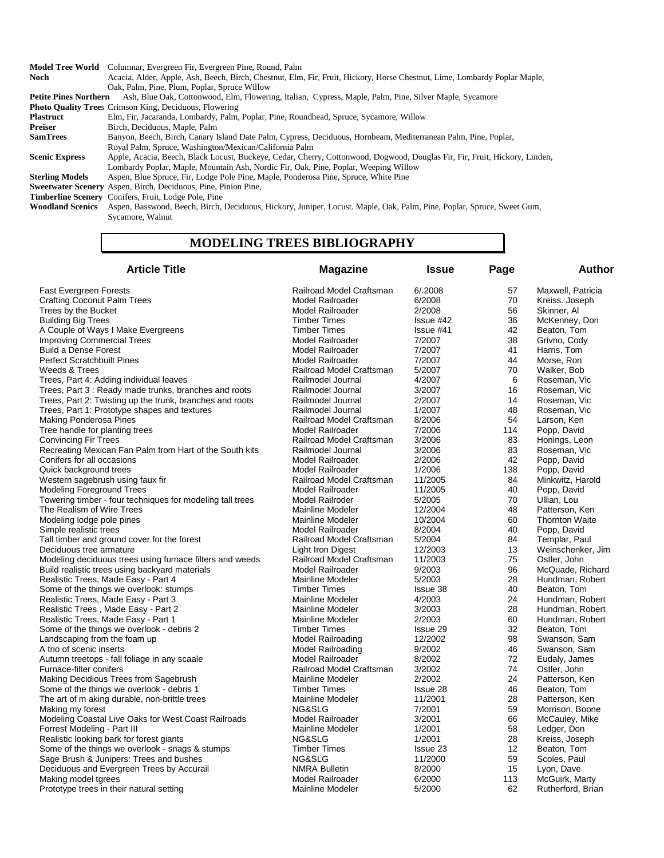**Model Tree World** Columnar, Evergreen Fir, Evergreen Pine, Round, Palm

**Noch** Acacia, Alder, Apple, Ash, Beech, Birch, Chestnut, Elm, Fir, Fruit, Hickory, Horse Chestnut, Lime, Lombardy Poplar Maple, Oak, Palm, Pine, Plum, Poplar, Spruce Willow<br>Petite Pines Northern Ash, Blue Oak, Cottonwood, Elm, Floweri Ash, Blue Oak, Cottonwood, Elm, Flowering, Italian, Cypress, Maple, Palm, Pine, Silver Maple, Sycamore **Photo Quality Trees Crimson King, Deciduous, Flowering Plastruct Elm, Fir, Jacaranda, Lombardy, Palm, Plastruct** Elm, Fir, Jacaranda, Lombardy, Palm, Poplar, Pine, Roundhead, Spruce, Sycamore, Willow **Preiser** Birch, Deciduous, Maple, Palm<br> **SamTrees** Banyon, Beech, Birch, Canary Is

Banyon, Beech, Birch, Canary Island Date Palm, Cypress, Deciduous, Hornbeam, Mediterranean Palm, Pine, Poplar,

Royal Palm, Spruce, Washington/Mexican/California Palm

**Scenic Express** Apple, Acacia, Beech, Black Locust, Buckeye, Cedar, Cherry, Cottonwood, Dogwood, Douglas Fir, Fir, Fruit, Hickory, Linden, Lombardy Poplar, Maple, Mountain Ash, Nordic Fir, Oak, Pine, Poplar, Weeping Willow

**Sterling Models** Aspen, Blue Spruce, Fir, Lodge Pole Pine, Maple, Ponderosa Pine, Spruce, White Pine

**Sweetwater Scenery** Aspen, Birch, Deciduous, Pine, Pinion Pine,

**Timberline Scenery** Conifers, Fruit, Lodge Pole, Pine Woodland Scenics Aspen, Basswood, Beech, Birch,

**Woodland Scenics** Aspen, Basswood, Beech, Birch, Deciduous, Hickory, Juniper, Locust. Maple, Oak, Palm, Pine, Poplar, Spruce, Sweet Gum, Sycamore, Walnut

#### **MODELING TREES BIBLIOGRAPHY**

| <b>Article Title</b>                                      | <b>Magazine</b>          | <b>Issue</b> | Page | Author                |
|-----------------------------------------------------------|--------------------------|--------------|------|-----------------------|
| <b>Fast Evergreen Forests</b>                             | Railroad Model Craftsman | 6/0.2008     | 57   | Maxwell, Patricia     |
| <b>Crafting Coconut Palm Trees</b>                        | Model Railroader         | 6/2008       | 70   | Kreiss. Joseph        |
| Trees by the Bucket                                       | Model Railroader         | 2/2008       | 56   | Skinner, Al           |
| <b>Building Big Trees</b>                                 | <b>Timber Times</b>      | $Is sue$ #42 | 36   | McKenney, Don         |
| A Couple of Ways I Make Evergreens                        | <b>Timber Times</b>      | $Is sue$ #41 | 42   | Beaton, Tom           |
| <b>Improving Commercial Trees</b>                         | Model Railroader         | 7/2007       | 38   | Grivno, Cody          |
| <b>Build a Dense Forest</b>                               | Model Railroader         | 7/2007       | 41   | Harris, Tom           |
| <b>Perfect Scratchbuilt Pines</b>                         | Model Railroader         | 7/2007       | 44   | Morse, Ron            |
| Weeds & Trees                                             | Railroad Model Craftsman | 5/2007       | 70   | Walker, Bob           |
| Trees, Part 4: Adding individual leaves                   | Railmodel Journal        | 4/2007       | 6    | Roseman, Vic          |
| Trees, Part 3: Ready made trunks, branches and roots      | Railmodel Journal        | 3/2007       | 16   | Roseman, Vic          |
| Trees, Part 2: Twisting up the trunk, branches and roots  | Railmodel Journal        | 2/2007       | 14   | Roseman, Vic          |
| Trees, Part 1: Prototype shapes and textures              | Railmodel Journal        | 1/2007       | 48   | Roseman, Vic          |
| <b>Making Ponderosa Pines</b>                             | Railroad Model Craftsman | 8/2006       | 54   | Larson, Ken           |
| Tree handle for planting trees                            | Model Railroader         | 7/2006       | 114  | Popp, David           |
| <b>Convincing Fir Trees</b>                               | Railroad Model Craftsman | 3/2006       | 83   | Honings, Leon         |
| Recreating Mexican Fan Palm from Hart of the South kits   | Railmodel Journal        | 3/2006       | 83   | Roseman, Vic          |
| Conifers for all occasions                                | Model Railroader         | 2/2006       | 42   | Popp, David           |
| Quick background trees                                    | Model Railroader         | 1/2006       | 138  | Popp, David           |
| Western sagebrush using faux fir                          | Railroad Model Craftsman | 11/2005      | 84   | Minkwitz, Harold      |
| <b>Modeling Foreground Trees</b>                          | Model Railroader         | 11/2005      | 40   | Popp, David           |
| Towering timber - four techniques for modeling tall trees | Model Railroder          | 5/2005       | 70   | Ullian, Lou           |
| The Realism of Wire Trees                                 | Mainline Modeler         | 12/2004      | 48   | Patterson, Ken        |
| Modeling lodge pole pines                                 | Mainline Modeler         | 10/2004      | 60   | <b>Thornton Waite</b> |
| Simple realistic trees                                    | Model Railroader         | 8/2004       | 40   | Popp, David           |
| Tall timber and ground cover for the forest               | Railroad Model Craftsman | 5/2004       | 84   | Templar, Paul         |
| Deciduous tree armature                                   | Light Iron Digest        | 12/2003      | 13   | Weinschenker, Jim     |
| Modeling deciduous trees using furnace filters and weeds  | Railroad Model Craftsman | 11/2003      | 75   | Ostler, John          |
| Build realistic trees using backyard materials            | Model Railroader         | 9/2003       | 96   | McQuade, Richard      |
| Realistic Trees, Made Easy - Part 4                       | Mainline Modeler         | 5/2003       | 28   | Hundman, Robert       |
| Some of the things we overlook: stumps                    | <b>Timber Times</b>      | Issue 38     | 40   | Beaton, Tom           |
| Realistic Trees, Made Easy - Part 3                       | Mainline Modeler         | 4/2003       | 24   | Hundman, Robert       |
| Realistic Trees, Made Easy - Part 2                       | Mainline Modeler         | 3/2003       | 28   | Hundman, Robert       |
| Realistic Trees, Made Easy - Part 1                       | Mainline Modeler         | 2/2003       | 60   | Hundman, Robert       |
| Some of the things we overlook - debris 2                 | <b>Timber Times</b>      | Issue 29     | 32   | Beaton, Tom           |
| Landscaping from the foam up                              | <b>Model Railroading</b> | 12/2002      | 98   | Swanson, Sam          |
| A trio of scenic inserts                                  | Model Railroading        | 9/2002       | 46   | Swanson, Sam          |
| Autumn treetops - fall foliage in any scaale              | Model Railroader         | 8/2002       | 72   | Eudaly, James         |
| Furnace-filter conifers                                   | Railroad Model Craftsman | 3/2002       | 74   | Ostler, John          |
| Making Decidious Trees from Sagebrush                     | Mainline Modeler         | 2/2002       | 24   | Patterson, Ken        |
| Some of the things we overlook - debris 1                 | <b>Timber Times</b>      | Issue 28     | 46   | Beaton, Tom           |
| The art of m aking durable, non-brittle trees             | Mainline Modeler         | 11/2001      | 28   | Patterson, Ken        |
| Making my forest                                          | NG&SLG                   | 7/2001       | 59   | Morrison, Boone       |
| Modeling Coastal Live Oaks for West Coast Railroads       | Model Railroader         | 3/2001       | 66   | McCauley, Mike        |
| Forrest Modeling - Part III                               | Mainline Modeler         | 1/2001       | 58   | Ledger, Don           |
| Realistic looking bark for forest giants                  | NG&SLG                   | 1/2001       | 28   | Kreiss, Joseph        |
| Some of the things we overlook - snags & stumps           | <b>Timber Times</b>      | Issue 23     | 12   | Beaton, Tom           |
| Sage Brush & Junipers: Trees and bushes                   | NG&SLG                   | 11/2000      | 59   | Scoles, Paul          |
| Deciduous and Evergreen Trees by Accurail                 | <b>NMRA Bulletin</b>     | 8/2000       | 15   | Lyon, Dave            |
| Making model tgrees                                       | Model Railroader         | 6/2000       | 113  | McGuirk, Marty        |
| Prototype trees in their natural setting                  | Mainline Modeler         | 5/2000       | 62   | Rutherford, Brian     |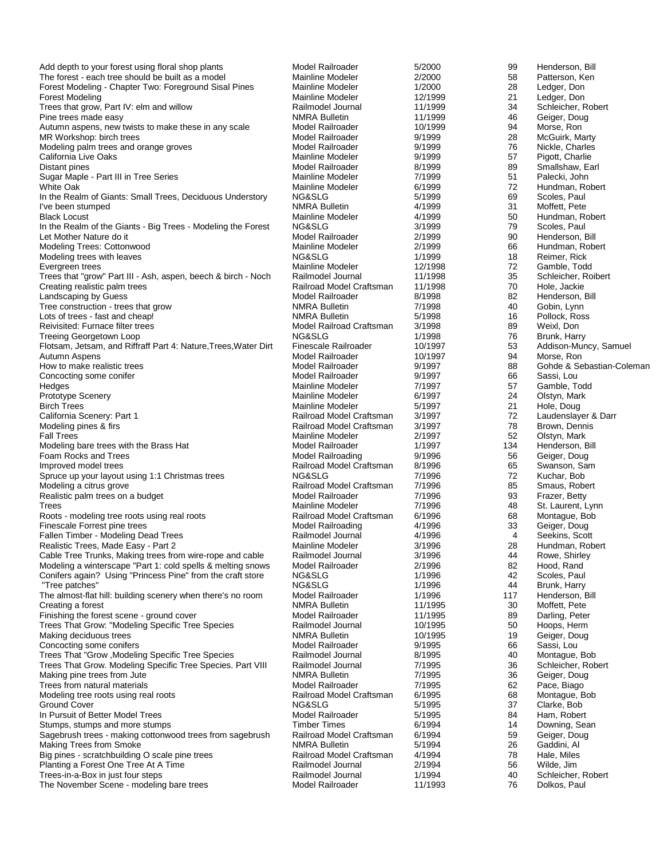| Add depth to your forest using floral shop plants                            | Model Railroader                                 | 5/2000             | 99       | Henderson, Bill                    |
|------------------------------------------------------------------------------|--------------------------------------------------|--------------------|----------|------------------------------------|
| The forest - each tree should be built as a model                            | Mainline Modeler                                 | 2/2000             | 58       | Patterson, Ken                     |
| Forest Modeling - Chapter Two: Foreground Sisal Pines                        | Mainline Modeler                                 | 1/2000             | 28       | Ledger, Don                        |
| <b>Forest Modeling</b>                                                       | Mainline Modeler                                 | 12/1999            | 21       | Ledger, Don                        |
| Trees that grow, Part IV: elm and willow                                     | Railmodel Journal                                | 11/1999            | 34       | Schleicher, Robert                 |
| Pine trees made easy<br>Autumn aspens, new twists to make these in any scale | <b>NMRA Bulletin</b><br>Model Railroader         | 11/1999<br>10/1999 | 46<br>94 | Geiger, Doug<br>Morse, Ron         |
| MR Workshop: birch trees                                                     | Model Railroader                                 | 9/1999             | 28       | McGuirk, Marty                     |
| Modeling palm trees and orange groves                                        | Model Railroader                                 | 9/1999             | 76       | Nickle, Charles                    |
| California Live Oaks                                                         | Mainline Modeler                                 | 9/1999             | 57       | Pigott, Charlie                    |
| Distant pines                                                                | Model Railroader                                 | 8/1999             | 89       | Smallshaw, Earl                    |
| Sugar Maple - Part III in Tree Series                                        | Mainline Modeler                                 | 7/1999             | 51       | Palecki, John                      |
| White Oak                                                                    | Mainline Modeler                                 | 6/1999             | 72       | Hundman, Robert                    |
| In the Realm of Giants: Small Trees, Deciduous Understory                    | NG&SLG                                           | 5/1999             | 69       | Scoles, Paul                       |
| I've been stumped                                                            | <b>NMRA Bulletin</b>                             | 4/1999             | 31       | Moffett, Pete                      |
| <b>Black Locust</b>                                                          | Mainline Modeler                                 | 4/1999             | 50       | Hundman, Robert                    |
| In the Realm of the Giants - Big Trees - Modeling the Forest                 | NG&SLG                                           | 3/1999             | 79       | Scoles, Paul                       |
| Let Mother Nature do it                                                      | Model Railroader                                 | 2/1999             | 90       | Henderson, Bill                    |
| Modeling Trees: Cottonwood                                                   | Mainline Modeler                                 | 2/1999             | 66       | Hundman, Robert                    |
| Modeling trees with leaves                                                   | NG&SLG                                           | 1/1999             | 18       | Reimer, Rick                       |
| Evergreen trees                                                              | Mainline Modeler                                 | 12/1998            | 72       | Gamble, Todd                       |
| Trees that "grow" Part III - Ash, aspen, beech & birch - Noch                | Railmodel Journal                                | 11/1998            | 35       | Schleicher, Roibert                |
| Creating realistic palm trees                                                | Railroad Model Craftsman                         | 11/1998            | 70       | Hole, Jackie                       |
| Landscaping by Guess                                                         | Model Railroader                                 | 8/1998             | 82       | Henderson, Bill                    |
| Tree construction - trees that grow                                          | <b>NMRA Bulletin</b>                             | 7/1998             | 40       | Gobin, Lynn                        |
| Lots of trees - fast and cheap!<br>Reivisited: Furnace filter trees          | <b>NMRA Bulletin</b><br>Model Railroad Craftsman | 5/1998<br>3/1998   | 16<br>89 | Pollock, Ross<br>Weixl, Don        |
| <b>Treeing Georgetown Loop</b>                                               | NG&SLG                                           | 1/1998             | 76       | Brunk, Harry                       |
| Flotsam, Jetsam, and Riffraff Part 4: Nature, Trees, Water Dirt              | Finescale Railroader                             | 10/1997            | 53       | Addison-Muncy, Samuel              |
| Autumn Aspens                                                                | Model Railroader                                 | 10/1997            | 94       | Morse, Ron                         |
| How to make realistic trees                                                  | Model Railroader                                 | 9/1997             | 88       | Gohde & Sebastian-Coleman          |
| Concocting some conifer                                                      | Model Railroader                                 | 9/1997             | 66       | Sassi, Lou                         |
| Hedges                                                                       | Mainline Modeler                                 | 7/1997             | 57       | Gamble, Todd                       |
| <b>Prototype Scenery</b>                                                     | Mainline Modeler                                 | 6/1997             | 24       | Olstyn, Mark                       |
| <b>Birch Trees</b>                                                           | Mainline Modeler                                 | 5/1997             | 21       | Hole, Doug                         |
| California Scenery: Part 1                                                   | Railroad Model Craftsman                         | 3/1997             | 72       | Laudenslayer & Darr                |
| Modeling pines & firs                                                        | Railroad Model Craftsman                         | 3/1997             | 78       | Brown, Dennis                      |
| <b>Fall Trees</b>                                                            | Mainline Modeler                                 | 2/1997             | 52       | Olstyn, Mark                       |
| Modeling bare trees with the Brass Hat                                       | Model Railroader                                 | 1/1997             | 134      | Henderson, Bill                    |
| Foam Rocks and Trees                                                         | Model Railroading                                | 9/1996             | 56       | Geiger, Doug                       |
| Improved model trees                                                         | Railroad Model Craftsman                         | 8/1996             | 65       | Swanson, Sam                       |
| Spruce up your layout using 1:1 Christmas trees                              | NG&SLG                                           | 7/1996             | 72       | Kuchar, Bob                        |
| Modeling a citrus grove<br>Realistic palm trees on a budget                  | Railroad Model Craftsman<br>Model Railroader     | 7/1996<br>7/1996   | 85<br>93 | Smaus, Robert                      |
| Trees                                                                        | Mainline Modeler                                 | 7/1996             | 48       | Frazer, Betty<br>St. Laurent, Lynn |
| Roots - modeling tree roots using real roots                                 | Railroad Model Craftsman                         | 6/1996             | 68       | Montague, Bob                      |
| Finescale Forrest pine trees                                                 | Model Railroading                                | 4/1996             | 33       | Geiger, Doug                       |
| Fallen Timber - Modeling Dead Trees                                          | Railmodel Journal                                | 4/1996             | 4        | Seekins, Scott                     |
| Realistic Trees, Made Easy - Part 2                                          | Mainline Modeler                                 | 3/1996             | 28       | Hundman, Robert                    |
| Cable Tree Trunks, Making trees from wire-rope and cable                     | Railmodel Journal                                | 3/1996             | 44       | Rowe, Shirley                      |
| Modeling a winterscape "Part 1: cold spells & melting snows                  | Model Railroader                                 | 2/1996             | 82       | Hood, Rand                         |
| Conifers again? Using "Princess Pine" from the craft store                   | NG&SLG                                           | 1/1996             | 42       | Scoles, Paul                       |
| "Tree patches"                                                               | NG&SLG                                           | 1/1996             | 44       | Brunk, Harry                       |
| The almost-flat hill: building scenery when there's no room                  | Model Railroader                                 | 1/1996             | 117      | Henderson, Bill                    |
| Creating a forest                                                            | <b>NMRA Bulletin</b>                             | 11/1995            | 30       | Moffett, Pete                      |
| Finishing the forest scene - ground cover                                    | Model Railroader                                 | 11/1995            | 89       | Darling, Peter                     |
| Trees That Grow: "Modeling Specific Tree Species<br>Making deciduous trees   | Railmodel Journal                                | 10/1995<br>10/1995 | 50<br>19 | Hoops, Herm                        |
| Concocting some conifers                                                     | <b>NMRA Bulletin</b><br>Model Railroader         | 9/1995             | 66       | Geiger, Doug<br>Sassi, Lou         |
| Trees That "Grow , Modeling Specific Tree Species                            | Railmodel Journal                                | 8/1995             | 40       | Montague, Bob                      |
| Trees That Grow. Modeling Specific Tree Species. Part VIII                   | Railmodel Journal                                | 7/1995             | 36       | Schleicher, Robert                 |
| Making pine trees from Jute                                                  | <b>NMRA Bulletin</b>                             | 7/1995             | 36       | Geiger, Doug                       |
| Trees from natural materials                                                 | Model Railroader                                 | 7/1995             | 62       | Pace, Biago                        |
| Modeling tree roots using real roots                                         | Railroad Model Craftsman                         | 6/1995             | 68       | Montague, Bob                      |
| Ground Cover                                                                 | NG&SLG                                           | 5/1995             | 37       | Clarke, Bob                        |
| In Pursuit of Better Model Trees                                             | Model Railroader                                 | 5/1995             | 84       | Ham, Robert                        |
| Stumps, stumps and more stumps                                               | <b>Timber Times</b>                              | 6/1994             | 14       | Downing, Sean                      |
| Sagebrush trees - making cottonwood trees from sagebrush                     | Railroad Model Craftsman                         | 6/1994             | 59       | Geiger, Doug                       |
| Making Trees from Smoke                                                      | <b>NMRA Bulletin</b>                             | 5/1994             | 26       | Gaddini, Al                        |
| Big pines - scratchbuilding O scale pine trees                               | Railroad Model Craftsman                         | 4/1994             | 78       | Hale, Miles                        |
| Planting a Forest One Tree At A Time                                         | Railmodel Journal                                | 2/1994             | 56       | Wilde, Jim                         |
| Trees-in-a-Box in just four steps                                            | Railmodel Journal                                | 1/1994             | 40       | Schleicher, Robert                 |
| The November Scene - modeling bare trees                                     | Model Railroader                                 | 11/1993            | 76       | Dolkos, Paul                       |